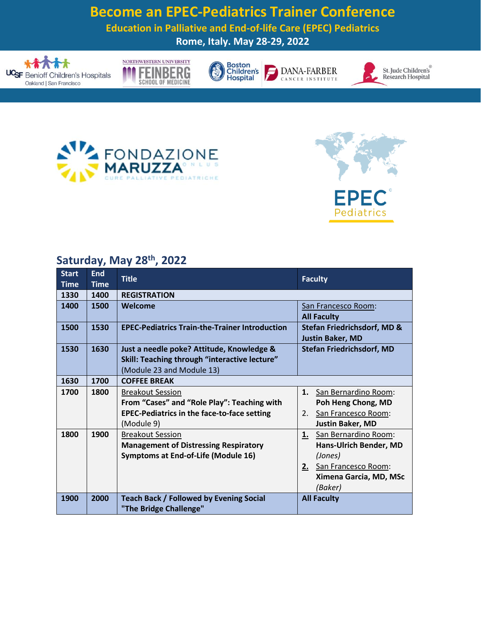## **Become an EPEC-Pediatrics Trainer Conference**

**Education in Palliative and End-of-life Care (EPEC) Pediatrics**

**Rome, Italy. May 28-29, 2022**







F





St. Jude Children's Research Hospital





## **Saturday, May 28 th, 2022**

| <b>Start</b> | <b>End</b>  | <b>Title</b>                                          | <b>Faculty</b>                         |
|--------------|-------------|-------------------------------------------------------|----------------------------------------|
| <b>Time</b>  | <b>Time</b> |                                                       |                                        |
| 1330         | 1400        | <b>REGISTRATION</b>                                   |                                        |
| 1400         | 1500        | Welcome                                               | San Francesco Room:                    |
|              |             |                                                       | <b>All Faculty</b>                     |
| 1500         | 1530        | <b>EPEC-Pediatrics Train-the-Trainer Introduction</b> | <b>Stefan Friedrichsdorf, MD &amp;</b> |
|              |             |                                                       | <b>Justin Baker, MD</b>                |
| 1530         | 1630        | Just a needle poke? Attitude, Knowledge &             | <b>Stefan Friedrichsdorf, MD</b>       |
|              |             | Skill: Teaching through "interactive lecture"         |                                        |
|              |             | (Module 23 and Module 13)                             |                                        |
| 1630         | 1700        | <b>COFFEE BREAK</b>                                   |                                        |
| 1700         | 1800        | <b>Breakout Session</b>                               | 1.<br>San Bernardino Room:             |
|              |             | From "Cases" and "Role Play": Teaching with           | Poh Heng Chong, MD                     |
|              |             | <b>EPEC-Pediatrics in the face-to-face setting</b>    | San Francesco Room:<br>2.              |
|              |             | (Module 9)                                            | <b>Justin Baker, MD</b>                |
| 1800         | 1900        | <b>Breakout Session</b>                               | San Bernardino Room:<br>1.             |
|              |             | <b>Management of Distressing Respiratory</b>          | Hans-Ulrich Bender, MD                 |
|              |             | Symptoms at End-of-Life (Module 16)                   | (Jones)                                |
|              |             |                                                       | San Francesco Room:<br>2.              |
|              |             |                                                       | Ximena Garcia, MD, MSc                 |
|              |             |                                                       | (Baker)                                |
| 1900         | 2000        | <b>Teach Back / Followed by Evening Social</b>        | <b>All Faculty</b>                     |
|              |             | "The Bridge Challenge"                                |                                        |